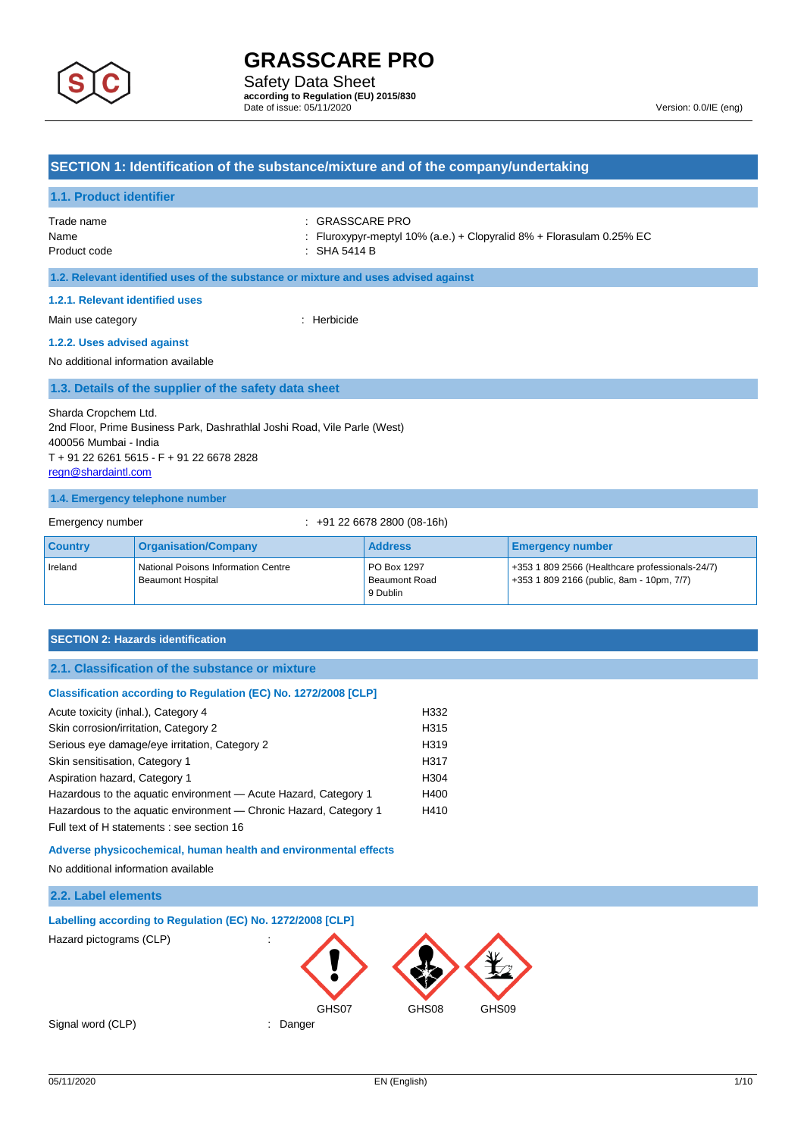

### **SECTION 1: Identification of the substance/mixture and of the company/undertaking**

#### **1.1. Product identifier**

| Trade name               |
|--------------------------|
| Name                     |
| Donald and and all and a |

: GRASSCARE PRO

: Fluroxypyr-meptyl 10% (a.e.) + Clopyralid 8% + Florasulam 0.25% EC

Product code : SHA 5414 B

**1.2. Relevant identified uses of the substance or mixture and uses advised against**

#### **1.2.1. Relevant identified uses**

Main use category **in the set of the set of the set of the set of the set of the set of the set of the set of the set of the set of the set of the set of the set of the set of the set of the set of the set of the set of th** 

#### **1.2.2. Uses advised against**

No additional information available

#### **1.3. Details of the supplier of the safety data sheet**

Sharda Cropchem Ltd. 2nd Floor, Prime Business Park, Dashrathlal Joshi Road, Vile Parle (West) 400056 Mumbai - India T + 91 22 6261 5615 - F + 91 22 6678 2828 [regn@shardaintl.com](mailto:regn@shardaintl.com)

#### **1.4. Emergency telephone number**

Emergency number : +91 22 6678 2800 (08-16h)

| <b>Country</b> | <b>Organisation/Company</b>                              | <b>Address</b>                                  | <b>Emergency number</b>                                                                          |
|----------------|----------------------------------------------------------|-------------------------------------------------|--------------------------------------------------------------------------------------------------|
| Ireland        | National Poisons Information Centre<br>Beaumont Hospital | <b>PO Box 1297</b><br>Beaumont Road<br>9 Dublin | $+353$ 1 809 2566 (Healthcare professionals-24/7)<br>$+353$ 1 809 2166 (public, 8am - 10pm, 7/7) |

#### **SECTION 2: Hazards identification**

#### **Classification according to Regulation (EC) No. 1272/2008 [CLP]**

| Acute toxicity (inhal.), Category 4                               | H332             |
|-------------------------------------------------------------------|------------------|
| Skin corrosion/irritation, Category 2                             | H315             |
| Serious eye damage/eye irritation, Category 2                     | H <sub>319</sub> |
| Skin sensitisation, Category 1                                    | H317             |
| Aspiration hazard, Category 1                                     | H304             |
| Hazardous to the aquatic environment - Acute Hazard, Category 1   | H400             |
| Hazardous to the aquatic environment — Chronic Hazard, Category 1 | H410             |
| Full text of H statements : see section 16                        |                  |

**Adverse physicochemical, human health and environmental effects**

No additional information available

# **2.2. Label elements**

#### **Labelling according to Regulation (EC) No. 1272/2008 [CLP]**

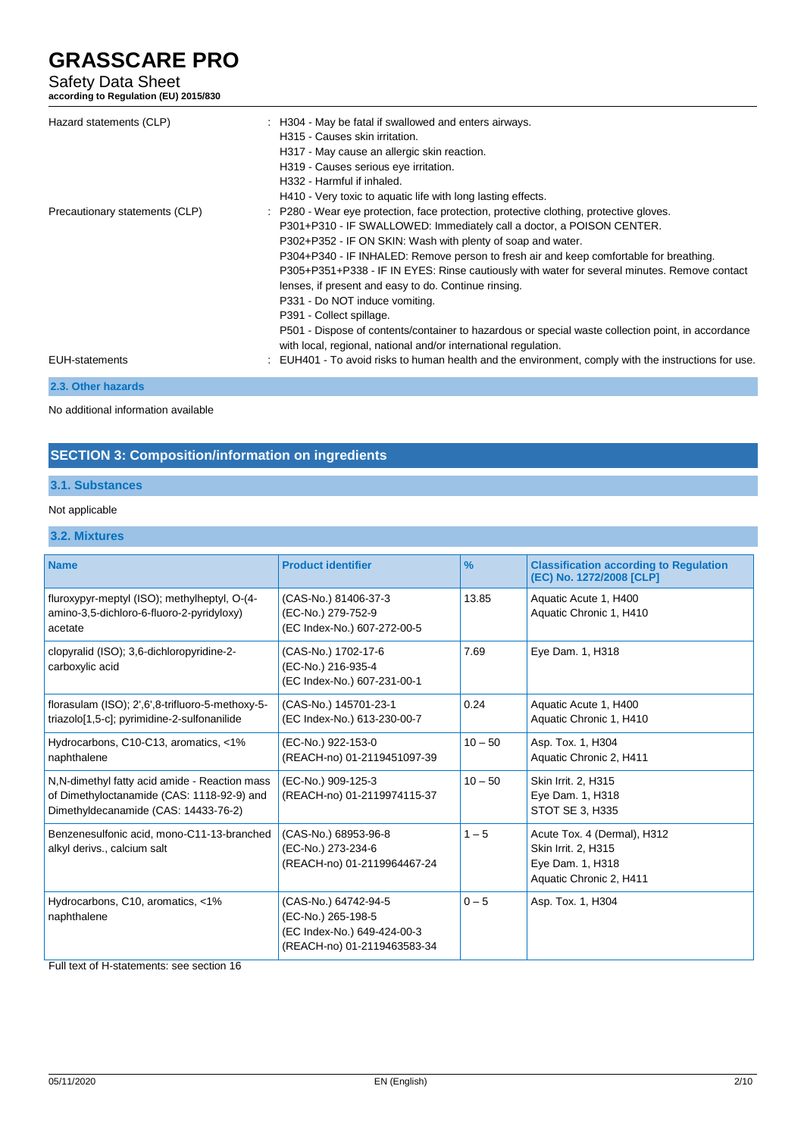# Safety Data Sheet

**according to Regulation (EU) 2015/830**

| Hazard statements (CLP)        | : H304 - May be fatal if swallowed and enters airways.<br>H315 - Causes skin irritation.<br>H317 - May cause an allergic skin reaction.<br>H319 - Causes serious eye irritation.<br>H332 - Harmful if inhaled.<br>H410 - Very toxic to aquatic life with long lasting effects.                                                                                                                                                                                                                                                                                                                                                                                                                                          |
|--------------------------------|-------------------------------------------------------------------------------------------------------------------------------------------------------------------------------------------------------------------------------------------------------------------------------------------------------------------------------------------------------------------------------------------------------------------------------------------------------------------------------------------------------------------------------------------------------------------------------------------------------------------------------------------------------------------------------------------------------------------------|
| Precautionary statements (CLP) | : P280 - Wear eye protection, face protection, protective clothing, protective gloves.<br>P301+P310 - IF SWALLOWED: Immediately call a doctor, a POISON CENTER.<br>P302+P352 - IF ON SKIN: Wash with plenty of soap and water.<br>P304+P340 - IF INHALED: Remove person to fresh air and keep comfortable for breathing.<br>P305+P351+P338 - IF IN EYES: Rinse cautiously with water for several minutes. Remove contact<br>lenses, if present and easy to do. Continue rinsing.<br>P331 - Do NOT induce vomiting.<br>P391 - Collect spillage.<br>P501 - Dispose of contents/container to hazardous or special waste collection point, in accordance<br>with local, regional, national and/or international regulation. |
| EUH-statements                 | : EUH401 - To avoid risks to human health and the environment, comply with the instructions for use.                                                                                                                                                                                                                                                                                                                                                                                                                                                                                                                                                                                                                    |
| 2.3. Other hazards             |                                                                                                                                                                                                                                                                                                                                                                                                                                                                                                                                                                                                                                                                                                                         |

No additional information available

# **SECTION 3: Composition/information on ingredients**

# **3.1. Substances**

### Not applicable

# **3.2. Mixtures**

| <b>Name</b>                                                                                                                         | <b>Product identifier</b>                                                                                | $\frac{9}{6}$ | <b>Classification according to Regulation</b>                                                     |
|-------------------------------------------------------------------------------------------------------------------------------------|----------------------------------------------------------------------------------------------------------|---------------|---------------------------------------------------------------------------------------------------|
| fluroxypyr-meptyl (ISO); methylheptyl, O-(4-<br>amino-3,5-dichloro-6-fluoro-2-pyridyloxy)<br>acetate                                | (CAS-No.) 81406-37-3<br>(EC-No.) 279-752-9<br>(EC Index-No.) 607-272-00-5                                | 13.85         | (EC) No. 1272/2008 [CLP]<br>Aquatic Acute 1, H400<br>Aquatic Chronic 1, H410                      |
| clopyralid (ISO); 3,6-dichloropyridine-2-<br>carboxylic acid                                                                        | (CAS-No.) 1702-17-6<br>(EC-No.) 216-935-4<br>(EC Index-No.) 607-231-00-1                                 | 7.69          | Eye Dam. 1, H318                                                                                  |
| florasulam (ISO); 2',6',8-trifluoro-5-methoxy-5-<br>triazolo[1,5-c]; pyrimidine-2-sulfonanilide                                     | (CAS-No.) 145701-23-1<br>(EC Index-No.) 613-230-00-7                                                     | 0.24          | Aquatic Acute 1, H400<br>Aquatic Chronic 1, H410                                                  |
| Hydrocarbons, C10-C13, aromatics, <1%<br>naphthalene                                                                                | (EC-No.) 922-153-0<br>(REACH-no) 01-2119451097-39                                                        | $10 - 50$     | Asp. Tox. 1, H304<br>Aquatic Chronic 2, H411                                                      |
| N.N-dimethyl fatty acid amide - Reaction mass<br>of Dimethyloctanamide (CAS: 1118-92-9) and<br>Dimethyldecanamide (CAS: 14433-76-2) | (EC-No.) 909-125-3<br>(REACH-no) 01-2119974115-37                                                        | $10 - 50$     | Skin Irrit. 2, H315<br>Eye Dam. 1, H318<br>STOT SE 3, H335                                        |
| Benzenesulfonic acid, mono-C11-13-branched<br>alkyl derivs., calcium salt                                                           | (CAS-No.) 68953-96-8<br>(EC-No.) 273-234-6<br>(REACH-no) 01-2119964467-24                                | $1 - 5$       | Acute Tox. 4 (Dermal), H312<br>Skin Irrit. 2, H315<br>Eye Dam. 1, H318<br>Aquatic Chronic 2, H411 |
| Hydrocarbons, C10, aromatics, <1%<br>naphthalene                                                                                    | (CAS-No.) 64742-94-5<br>(EC-No.) 265-198-5<br>(EC Index-No.) 649-424-00-3<br>(REACH-no) 01-2119463583-34 | $0 - 5$       | Asp. Tox. 1, H304                                                                                 |

Full text of H-statements: see section 16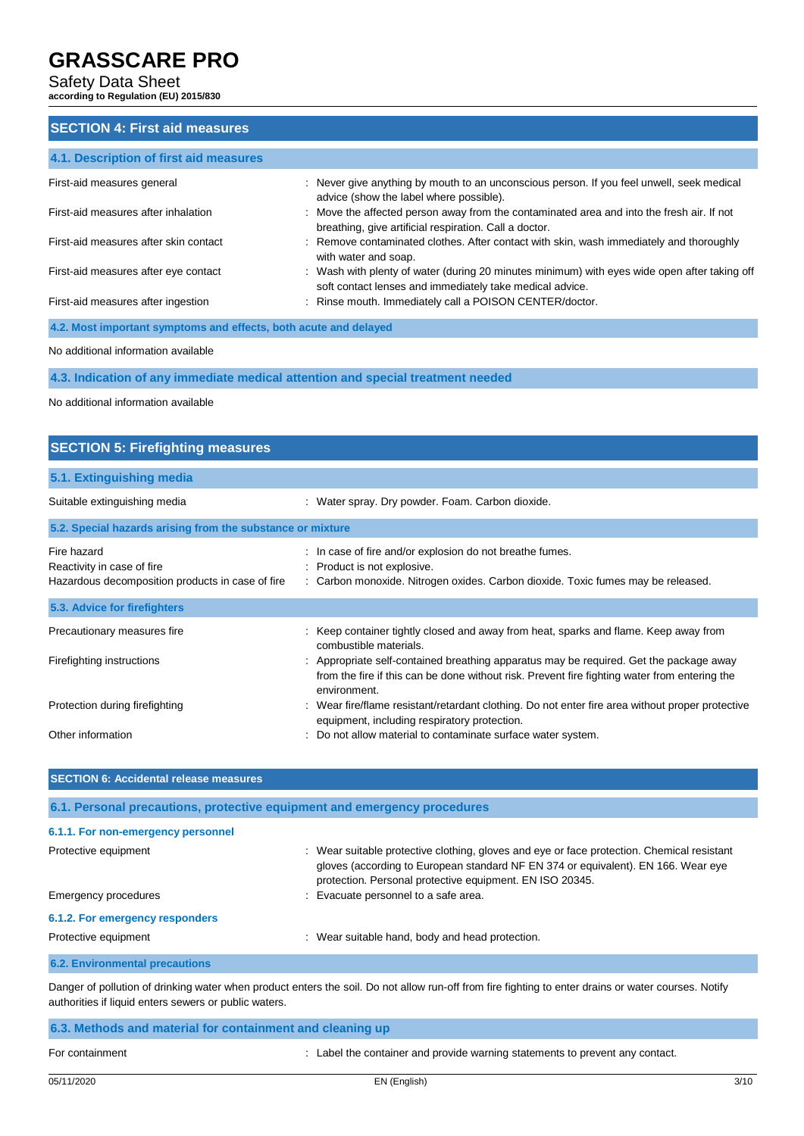### Safety Data Sheet

**according to Regulation (EU) 2015/830**

# **SECTION 4: First aid measures**

| 4.1. Description of first aid measures                           |                                                                                                                                                          |
|------------------------------------------------------------------|----------------------------------------------------------------------------------------------------------------------------------------------------------|
| First-aid measures general                                       | : Never give anything by mouth to an unconscious person. If you feel unwell, seek medical<br>advice (show the label where possible).                     |
| First-aid measures after inhalation                              | : Move the affected person away from the contaminated area and into the fresh air. If not<br>breathing, give artificial respiration. Call a doctor.      |
| First-aid measures after skin contact                            | : Remove contaminated clothes. After contact with skin, wash immediately and thoroughly<br>with water and soap.                                          |
| First-aid measures after eye contact                             | : Wash with plenty of water (during 20 minutes minimum) with eyes wide open after taking off<br>soft contact lenses and immediately take medical advice. |
| First-aid measures after ingestion                               | : Rinse mouth. Immediately call a POISON CENTER/doctor.                                                                                                  |
| 4.2. Most important symptoms and effects, both acute and delayed |                                                                                                                                                          |

No additional information available

**4.3. Indication of any immediate medical attention and special treatment needed**

No additional information available

# **SECTION 5: Firefighting measures 5.1. Extinguishing media** Suitable extinguishing media : Water spray. Dry powder. Foam. Carbon dioxide. **5.2. Special hazards arising from the substance or mixture** Fire hazard **in case of fire and/or explosion do not breathe fumes.** In case of fire and/or explosion do not breathe fumes. Reactivity in case of fire **interpretity** : Product is not explosive. Hazardous decomposition products in case of fire : Carbon monoxide. Nitrogen oxides. Carbon dioxide. Toxic fumes may be released. **5.3. Advice for firefighters**

| Precautionary measures fire    | : Keep container tightly closed and away from heat, sparks and flame. Keep away from<br>combustible materials.                                                                                          |
|--------------------------------|---------------------------------------------------------------------------------------------------------------------------------------------------------------------------------------------------------|
| Firefighting instructions      | : Appropriate self-contained breathing apparatus may be required. Get the package away<br>from the fire if this can be done without risk. Prevent fire fighting water from entering the<br>environment. |
| Protection during firefighting | : Wear fire/flame resistant/retardant clothing. Do not enter fire area without proper protective<br>equipment, including respiratory protection.                                                        |
| Other information              | : Do not allow material to contaminate surface water system.                                                                                                                                            |

| <b>SECTION 6: Accidental release measures</b>                            |                                                                                                                                                                                                                                             |  |
|--------------------------------------------------------------------------|---------------------------------------------------------------------------------------------------------------------------------------------------------------------------------------------------------------------------------------------|--|
| 6.1. Personal precautions, protective equipment and emergency procedures |                                                                                                                                                                                                                                             |  |
| 6.1.1. For non-emergency personnel                                       |                                                                                                                                                                                                                                             |  |
| Protective equipment                                                     | : Wear suitable protective clothing, gloves and eye or face protection. Chemical resistant<br>gloves (according to European standard NF EN 374 or equivalent). EN 166. Wear eye<br>protection. Personal protective equipment. EN ISO 20345. |  |
| Emergency procedures                                                     | Evacuate personnel to a safe area.                                                                                                                                                                                                          |  |
| 6.1.2. For emergency responders                                          |                                                                                                                                                                                                                                             |  |
| Protective equipment                                                     | : Wear suitable hand, body and head protection.                                                                                                                                                                                             |  |
| <b>6.2. Environmental precautions</b>                                    |                                                                                                                                                                                                                                             |  |

Danger of pollution of drinking water when product enters the soil. Do not allow run-off from fire fighting to enter drains or water courses. Notify authorities if liquid enters sewers or public waters.

| 6.3. Methods and material for containment and cleaning up |                                                                              |
|-----------------------------------------------------------|------------------------------------------------------------------------------|
| For containment                                           | : Label the container and provide warning statements to prevent any contact. |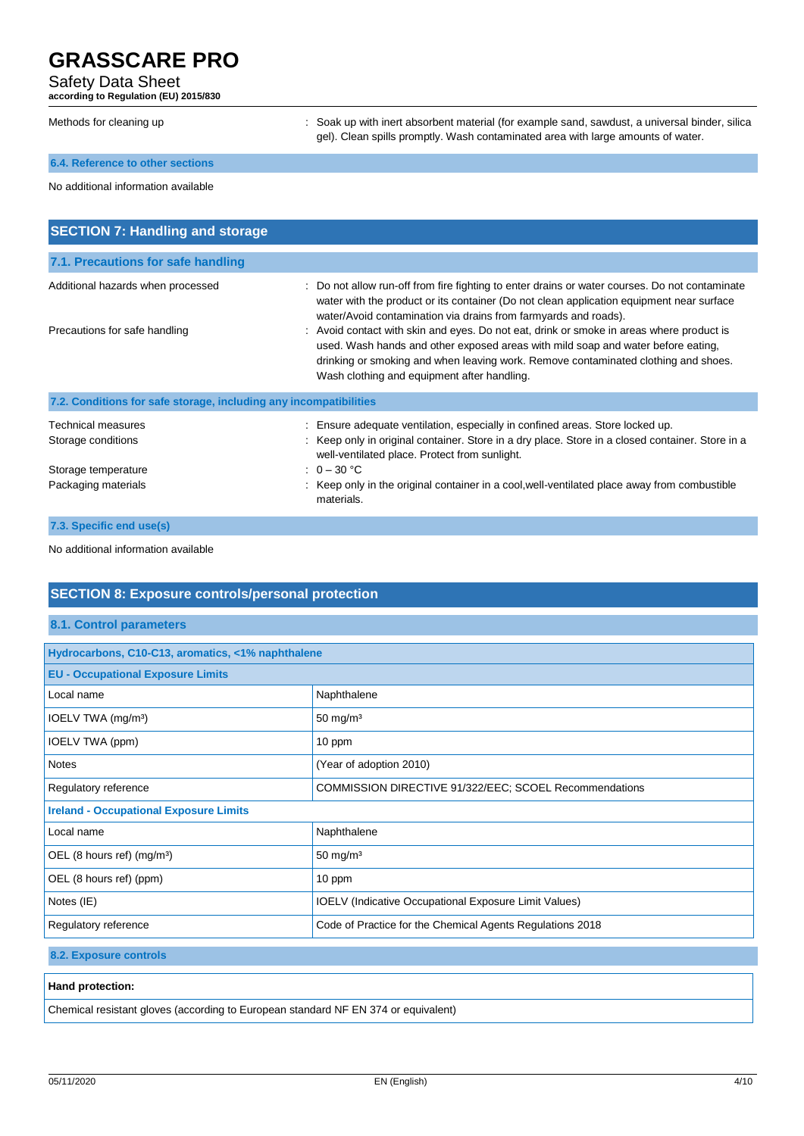# Safety Data Sheet

**according to Regulation (EU) 2015/830**

| Methods for cleaning up                | : Soak up with inert absorbent material (for example sand, sawdust, a universal binder, silica<br>gel). Clean spills promptly. Wash contaminated area with large amounts of water.                                                                                                                                |
|----------------------------------------|-------------------------------------------------------------------------------------------------------------------------------------------------------------------------------------------------------------------------------------------------------------------------------------------------------------------|
| 6.4. Reference to other sections       |                                                                                                                                                                                                                                                                                                                   |
| No additional information available    |                                                                                                                                                                                                                                                                                                                   |
| <b>SECTION 7: Handling and storage</b> |                                                                                                                                                                                                                                                                                                                   |
| 7.1. Precautions for safe handling     |                                                                                                                                                                                                                                                                                                                   |
| Additional hazards when processed      | : Do not allow run-off from fire fighting to enter drains or water courses. Do not contaminate<br>water with the product or its container (Do not clean application equipment near surface<br>water/Avoid contamination via drains from farmyards and roads).                                                     |
| Precautions for safe handling          | : Avoid contact with skin and eyes. Do not eat, drink or smoke in areas where product is<br>used. Wash hands and other exposed areas with mild soap and water before eating,<br>drinking or smoking and when leaving work. Remove contaminated clothing and shoes.<br>Wash clothing and equipment after handling. |

| 7.2. Conditions for safe storage, including any incompatibilities |                                                                                                                                                   |
|-------------------------------------------------------------------|---------------------------------------------------------------------------------------------------------------------------------------------------|
| <b>Technical measures</b>                                         | Ensure adequate ventilation, especially in confined areas. Store locked up.                                                                       |
| Storage conditions                                                | : Keep only in original container. Store in a dry place. Store in a closed container. Store in a<br>well-ventilated place. Protect from sunlight. |
| Storage temperature                                               | : $0 - 30$ °C                                                                                                                                     |
| Packaging materials                                               | : Keep only in the original container in a cool, well-ventilated place away from combustible<br>materials.                                        |
| 7.3. Specific end use(s)                                          |                                                                                                                                                   |

No additional information available

# **SECTION 8: Exposure controls/personal protection**

### **8.1. Control parameters**

| Hydrocarbons, C10-C13, aromatics, <1% naphthalene                                 |  |  |  |
|-----------------------------------------------------------------------------------|--|--|--|
| <b>EU - Occupational Exposure Limits</b>                                          |  |  |  |
| Naphthalene                                                                       |  |  |  |
| 50 mg/m $3$                                                                       |  |  |  |
| 10 ppm                                                                            |  |  |  |
| (Year of adoption 2010)                                                           |  |  |  |
| COMMISSION DIRECTIVE 91/322/EEC; SCOEL Recommendations                            |  |  |  |
| <b>Ireland - Occupational Exposure Limits</b>                                     |  |  |  |
| Naphthalene                                                                       |  |  |  |
| $50 \text{ mg/m}^3$                                                               |  |  |  |
| 10 ppm                                                                            |  |  |  |
| <b>IOELV</b> (Indicative Occupational Exposure Limit Values)                      |  |  |  |
| Code of Practice for the Chemical Agents Regulations 2018<br>Regulatory reference |  |  |  |
|                                                                                   |  |  |  |

**8.2. Exposure controls**

#### **Hand protection:**

Chemical resistant gloves (according to European standard NF EN 374 or equivalent)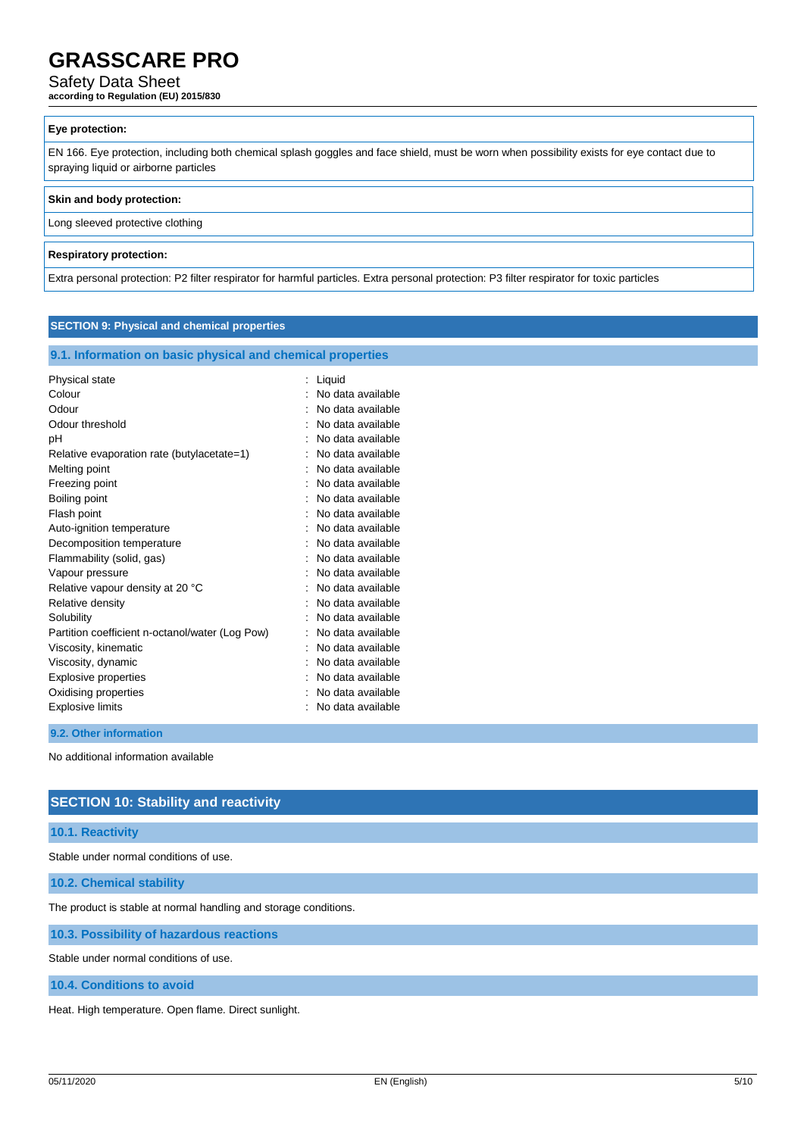### Safety Data Sheet

**according to Regulation (EU) 2015/830**

#### **Eye protection:**

EN 166. Eye protection, including both chemical splash goggles and face shield, must be worn when possibility exists for eye contact due to spraying liquid or airborne particles

#### **Skin and body protection:**

Long sleeved protective clothing

#### **Respiratory protection:**

Extra personal protection: P2 filter respirator for harmful particles. Extra personal protection: P3 filter respirator for toxic particles

#### **SECTION 9: Physical and chemical properties**

#### **9.1. Information on basic physical and chemical properties**

| Physical state                                  | Liquid            |
|-------------------------------------------------|-------------------|
| Colour                                          | No data available |
| Odour                                           | No data available |
| Odour threshold                                 | No data available |
| рH                                              | No data available |
| Relative evaporation rate (butylacetate=1)      | No data available |
| Melting point                                   | No data available |
| Freezing point                                  | No data available |
| Boiling point                                   | No data available |
| Flash point                                     | No data available |
| Auto-ignition temperature                       | No data available |
| Decomposition temperature                       | No data available |
| Flammability (solid, gas)                       | No data available |
| Vapour pressure                                 | No data available |
| Relative vapour density at 20 °C                | No data available |
| Relative density                                | No data available |
| Solubility                                      | No data available |
| Partition coefficient n-octanol/water (Log Pow) | No data available |
| Viscosity, kinematic                            | No data available |
| Viscosity, dynamic                              | No data available |
| Explosive properties                            | No data available |
| Oxidising properties                            | No data available |
| Explosive limits                                | No data available |
|                                                 |                   |

#### **9.2. Other information**

No additional information available

### **SECTION 10: Stability and reactivity**

#### **10.1. Reactivity**

Stable under normal conditions of use.

**10.2. Chemical stability**

The product is stable at normal handling and storage conditions.

**10.3. Possibility of hazardous reactions**

Stable under normal conditions of use.

**10.4. Conditions to avoid**

Heat. High temperature. Open flame. Direct sunlight.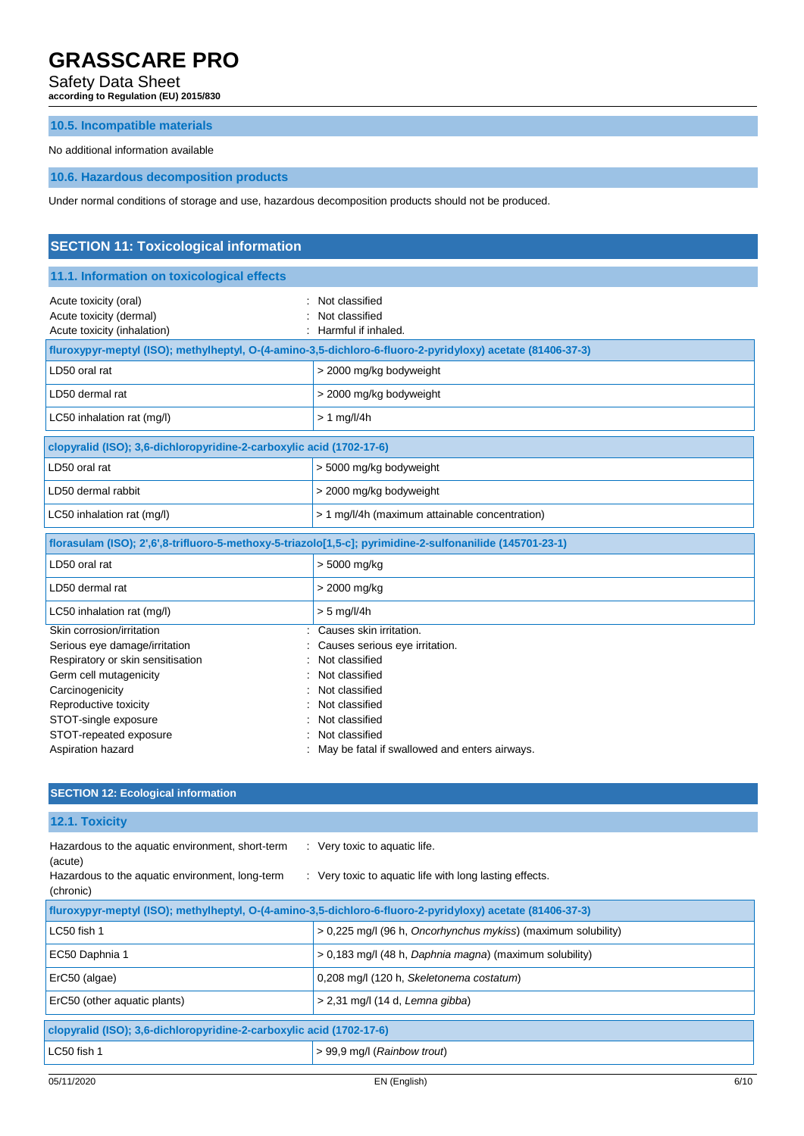Safety Data Sheet

**according to Regulation (EU) 2015/830**

### **10.5. Incompatible materials**

No additional information available

# **10.6. Hazardous decomposition products**

Under normal conditions of storage and use, hazardous decomposition products should not be produced.

| <b>SECTION 11: Toxicological information</b>                                                                                                                                                  |                                                                                                                                                     |  |  |
|-----------------------------------------------------------------------------------------------------------------------------------------------------------------------------------------------|-----------------------------------------------------------------------------------------------------------------------------------------------------|--|--|
| 11.1. Information on toxicological effects                                                                                                                                                    |                                                                                                                                                     |  |  |
| Acute toxicity (oral)<br>Acute toxicity (dermal)<br>Acute toxicity (inhalation)                                                                                                               | Not classified<br>Not classified<br>Harmful if inhaled.                                                                                             |  |  |
|                                                                                                                                                                                               | fluroxypyr-meptyl (ISO); methylheptyl, O-(4-amino-3,5-dichloro-6-fluoro-2-pyridyloxy) acetate (81406-37-3)                                          |  |  |
| LD50 oral rat                                                                                                                                                                                 | > 2000 mg/kg bodyweight                                                                                                                             |  |  |
| LD50 dermal rat                                                                                                                                                                               | > 2000 mg/kg bodyweight                                                                                                                             |  |  |
| LC50 inhalation rat (mg/l)                                                                                                                                                                    | $> 1$ mg/l/4h                                                                                                                                       |  |  |
| clopyralid (ISO); 3,6-dichloropyridine-2-carboxylic acid (1702-17-6)                                                                                                                          |                                                                                                                                                     |  |  |
| LD50 oral rat                                                                                                                                                                                 | > 5000 mg/kg bodyweight                                                                                                                             |  |  |
| LD50 dermal rabbit                                                                                                                                                                            | > 2000 mg/kg bodyweight                                                                                                                             |  |  |
| LC50 inhalation rat (mg/l)                                                                                                                                                                    | > 1 mg/l/4h (maximum attainable concentration)                                                                                                      |  |  |
| florasulam (ISO); 2',6',8-trifluoro-5-methoxy-5-triazolo[1,5-c]; pyrimidine-2-sulfonanilide (145701-23-1)                                                                                     |                                                                                                                                                     |  |  |
| LD50 oral rat                                                                                                                                                                                 | > 5000 mg/kg                                                                                                                                        |  |  |
| LD50 dermal rat                                                                                                                                                                               | > 2000 mg/kg                                                                                                                                        |  |  |
| LC50 inhalation rat (mg/l)                                                                                                                                                                    | $> 5$ mg/l/4h                                                                                                                                       |  |  |
| Skin corrosion/irritation<br>Serious eye damage/irritation<br>Respiratory or skin sensitisation<br>Germ cell mutagenicity<br>Carcinogenicity<br>Reproductive toxicity<br>STOT-single exposure | Causes skin irritation.<br>Causes serious eye irritation.<br>Not classified<br>Not classified<br>Not classified<br>Not classified<br>Not classified |  |  |
| STOT-repeated exposure<br>Aspiration hazard                                                                                                                                                   | Not classified<br>May be fatal if swallowed and enters airways.                                                                                     |  |  |

# **SECTION 12: Ecological information**

**12.1. Toxicity**

| Hazardous to the aquatic environment, short-term<br>(acute)<br>Hazardous to the aquatic environment, long-term<br>(chronic) | : Very toxic to aquatic life.<br>: Very toxic to aquatic life with long lasting effects.                   |  |  |
|-----------------------------------------------------------------------------------------------------------------------------|------------------------------------------------------------------------------------------------------------|--|--|
|                                                                                                                             | fluroxypyr-meptyl (ISO); methylheptyl, O-(4-amino-3,5-dichloro-6-fluoro-2-pyridyloxy) acetate (81406-37-3) |  |  |
| LC50 fish 1                                                                                                                 | > 0,225 mg/l (96 h, Oncorhynchus mykiss) (maximum solubility)                                              |  |  |
| EC50 Daphnia 1                                                                                                              | > 0.183 mg/l (48 h, Daphnia magna) (maximum solubility)                                                    |  |  |
| ErC50 (algae)                                                                                                               | 0,208 mg/l (120 h, Skeletonema costatum)                                                                   |  |  |
| ErC50 (other aquatic plants)                                                                                                | $> 2.31$ mg/l (14 d, Lemna gibba)                                                                          |  |  |
| clopyralid (ISO); 3,6-dichloropyridine-2-carboxylic acid (1702-17-6)                                                        |                                                                                                            |  |  |
| LC50 fish 1                                                                                                                 | > 99,9 mg/l (Rainbow trout)                                                                                |  |  |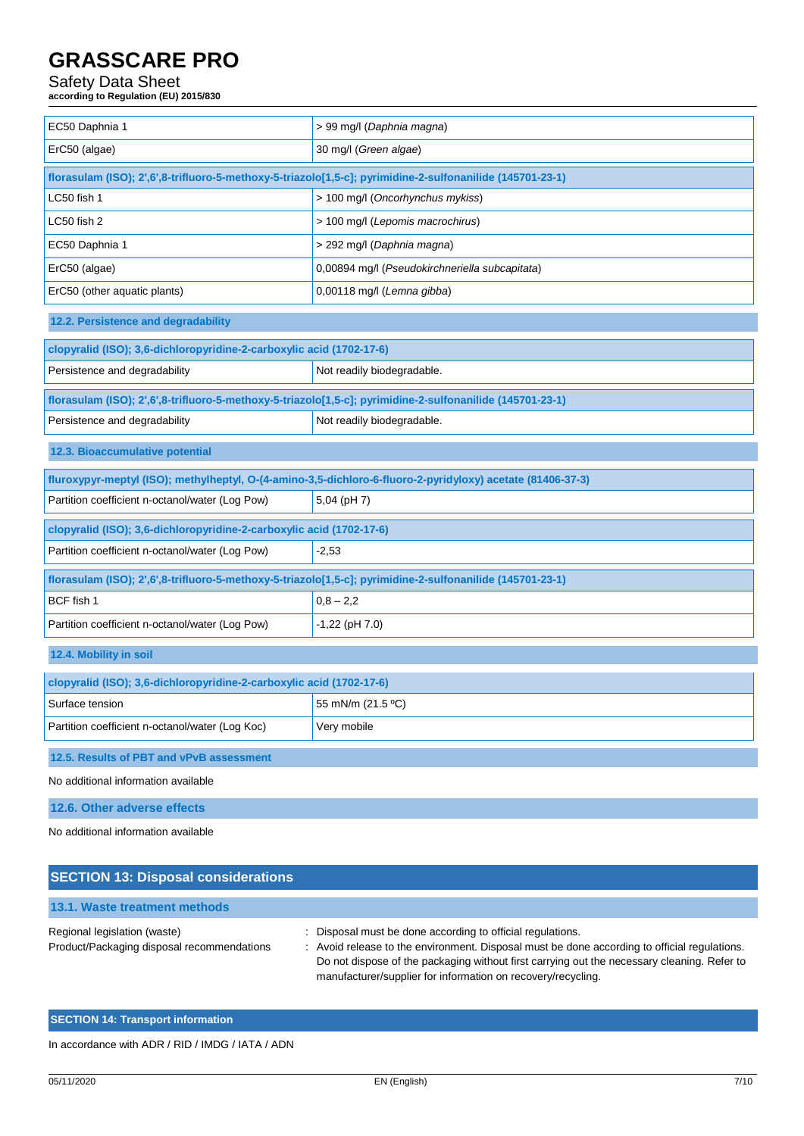# Safety Data Sheet

**according to Regulation (EU) 2015/830**

| EC50 Daphnia 1                                                                                            | > 99 mg/l (Daphnia magna)                                                                                  |  |  |
|-----------------------------------------------------------------------------------------------------------|------------------------------------------------------------------------------------------------------------|--|--|
| ErC50 (algae)                                                                                             | 30 mg/l (Green algae)                                                                                      |  |  |
| florasulam (ISO); 2',6',8-trifluoro-5-methoxy-5-triazolo[1,5-c]; pyrimidine-2-sulfonanilide (145701-23-1) |                                                                                                            |  |  |
| LC50 fish 1                                                                                               | > 100 mg/l (Oncorhynchus mykiss)                                                                           |  |  |
| LC50 fish 2                                                                                               | > 100 mg/l (Lepomis macrochirus)                                                                           |  |  |
| EC50 Daphnia 1                                                                                            | > 292 mg/l (Daphnia magna)                                                                                 |  |  |
| ErC50 (algae)                                                                                             | 0,00894 mg/l (Pseudokirchneriella subcapitata)                                                             |  |  |
| ErC50 (other aquatic plants)                                                                              | 0,00118 mg/l (Lemna gibba)                                                                                 |  |  |
| 12.2. Persistence and degradability                                                                       |                                                                                                            |  |  |
| clopyralid (ISO); 3,6-dichloropyridine-2-carboxylic acid (1702-17-6)                                      |                                                                                                            |  |  |
| Persistence and degradability                                                                             | Not readily biodegradable.                                                                                 |  |  |
| florasulam (ISO); 2',6',8-trifluoro-5-methoxy-5-triazolo[1,5-c]; pyrimidine-2-sulfonanilide (145701-23-1) |                                                                                                            |  |  |
| Persistence and degradability                                                                             | Not readily biodegradable.                                                                                 |  |  |
| 12.3. Bioaccumulative potential                                                                           |                                                                                                            |  |  |
|                                                                                                           | fluroxypyr-meptyl (ISO); methylheptyl, O-(4-amino-3,5-dichloro-6-fluoro-2-pyridyloxy) acetate (81406-37-3) |  |  |
| Partition coefficient n-octanol/water (Log Pow)                                                           | 5,04 (pH 7)                                                                                                |  |  |
| clopyralid (ISO); 3,6-dichloropyridine-2-carboxylic acid (1702-17-6)                                      |                                                                                                            |  |  |
| Partition coefficient n-octanol/water (Log Pow)                                                           | $-2,53$                                                                                                    |  |  |
| florasulam (ISO); 2',6',8-trifluoro-5-methoxy-5-triazolo[1,5-c]; pyrimidine-2-sulfonanilide (145701-23-1) |                                                                                                            |  |  |
| BCF fish 1                                                                                                | $0,8 - 2,2$                                                                                                |  |  |
| Partition coefficient n-octanol/water (Log Pow)                                                           | $-1,22$ (pH 7.0)                                                                                           |  |  |
| 12.4. Mobility in soil                                                                                    |                                                                                                            |  |  |
| clopyralid (ISO); 3,6-dichloropyridine-2-carboxylic acid (1702-17-6)                                      |                                                                                                            |  |  |
| Surface tension                                                                                           | 55 mN/m (21.5 °C)                                                                                          |  |  |
| Partition coefficient n-octanol/water (Log Koc)                                                           | Very mobile                                                                                                |  |  |
| 12.5. Results of PBT and vPvB assessment                                                                  |                                                                                                            |  |  |
| No additional information available                                                                       |                                                                                                            |  |  |
| 12.6. Other adverse effects                                                                               |                                                                                                            |  |  |

No additional information available

| <b>SECTION 13: Disposal considerations</b>                                 |                                                                                                                                                                                                                                                                                                                           |
|----------------------------------------------------------------------------|---------------------------------------------------------------------------------------------------------------------------------------------------------------------------------------------------------------------------------------------------------------------------------------------------------------------------|
| 13.1. Waste treatment methods                                              |                                                                                                                                                                                                                                                                                                                           |
| Regional legislation (waste)<br>Product/Packaging disposal recommendations | : Disposal must be done according to official regulations.<br>: Avoid release to the environment. Disposal must be done according to official regulations.<br>Do not dispose of the packaging without first carrying out the necessary cleaning. Refer to<br>manufacturer/supplier for information on recovery/recycling. |

### **SECTION 14: Transport information**

In accordance with ADR / RID / IMDG / IATA / ADN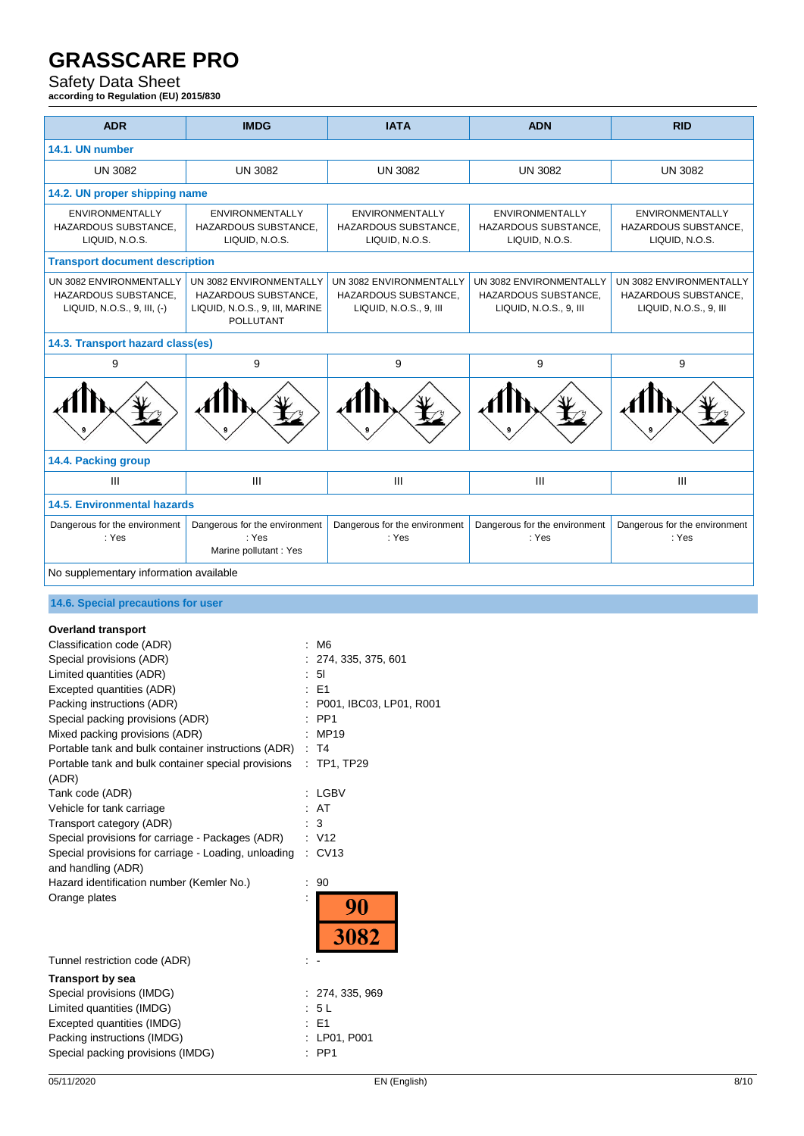# Safety Data Sheet

**according to Regulation (EU) 2015/830**

| <b>ADR</b>                                                                                                                                                                                                                                                                                                                                                                                                                                                                                                                                                                                                                                         | <b>IMDG</b>                                                                                                                    | <b>IATA</b>                                                                                                                    | <b>ADN</b>                                                                | <b>RID</b>                                                                |
|----------------------------------------------------------------------------------------------------------------------------------------------------------------------------------------------------------------------------------------------------------------------------------------------------------------------------------------------------------------------------------------------------------------------------------------------------------------------------------------------------------------------------------------------------------------------------------------------------------------------------------------------------|--------------------------------------------------------------------------------------------------------------------------------|--------------------------------------------------------------------------------------------------------------------------------|---------------------------------------------------------------------------|---------------------------------------------------------------------------|
| 14.1. UN number                                                                                                                                                                                                                                                                                                                                                                                                                                                                                                                                                                                                                                    |                                                                                                                                |                                                                                                                                |                                                                           |                                                                           |
| <b>UN 3082</b>                                                                                                                                                                                                                                                                                                                                                                                                                                                                                                                                                                                                                                     | <b>UN 3082</b>                                                                                                                 | <b>UN 3082</b>                                                                                                                 | <b>UN 3082</b>                                                            | <b>UN 3082</b>                                                            |
|                                                                                                                                                                                                                                                                                                                                                                                                                                                                                                                                                                                                                                                    |                                                                                                                                |                                                                                                                                |                                                                           |                                                                           |
| 14.2. UN proper shipping name                                                                                                                                                                                                                                                                                                                                                                                                                                                                                                                                                                                                                      |                                                                                                                                |                                                                                                                                |                                                                           |                                                                           |
| <b>ENVIRONMENTALLY</b><br>HAZARDOUS SUBSTANCE,<br>LIQUID, N.O.S.                                                                                                                                                                                                                                                                                                                                                                                                                                                                                                                                                                                   | <b>ENVIRONMENTALLY</b><br>HAZARDOUS SUBSTANCE.<br>LIQUID, N.O.S.                                                               | <b>ENVIRONMENTALLY</b><br>HAZARDOUS SUBSTANCE,<br>LIQUID, N.O.S.                                                               | <b>ENVIRONMENTALLY</b><br>HAZARDOUS SUBSTANCE,<br>LIQUID, N.O.S.          | <b>ENVIRONMENTALLY</b><br>HAZARDOUS SUBSTANCE,<br>LIQUID, N.O.S.          |
| <b>Transport document description</b>                                                                                                                                                                                                                                                                                                                                                                                                                                                                                                                                                                                                              |                                                                                                                                |                                                                                                                                |                                                                           |                                                                           |
| UN 3082 ENVIRONMENTALLY<br>HAZARDOUS SUBSTANCE,<br>LIQUID, N.O.S., 9, III, (-)                                                                                                                                                                                                                                                                                                                                                                                                                                                                                                                                                                     | UN 3082 ENVIRONMENTALLY<br>HAZARDOUS SUBSTANCE,<br>LIQUID, N.O.S., 9, III, MARINE<br>POLLUTANT                                 | UN 3082 ENVIRONMENTALLY<br>HAZARDOUS SUBSTANCE,<br>LIQUID, N.O.S., 9, III                                                      | UN 3082 ENVIRONMENTALLY<br>HAZARDOUS SUBSTANCE,<br>LIQUID, N.O.S., 9, III | UN 3082 ENVIRONMENTALLY<br>HAZARDOUS SUBSTANCE,<br>LIQUID, N.O.S., 9, III |
| 14.3. Transport hazard class(es)                                                                                                                                                                                                                                                                                                                                                                                                                                                                                                                                                                                                                   |                                                                                                                                |                                                                                                                                |                                                                           |                                                                           |
| 9                                                                                                                                                                                                                                                                                                                                                                                                                                                                                                                                                                                                                                                  | 9                                                                                                                              | 9                                                                                                                              | 9                                                                         | 9                                                                         |
|                                                                                                                                                                                                                                                                                                                                                                                                                                                                                                                                                                                                                                                    |                                                                                                                                |                                                                                                                                |                                                                           |                                                                           |
| 14.4. Packing group                                                                                                                                                                                                                                                                                                                                                                                                                                                                                                                                                                                                                                |                                                                                                                                |                                                                                                                                |                                                                           |                                                                           |
| $\mathbf{III}$                                                                                                                                                                                                                                                                                                                                                                                                                                                                                                                                                                                                                                     | Ш                                                                                                                              | Ш                                                                                                                              | Ш                                                                         | Ш                                                                         |
| <b>14.5. Environmental hazards</b>                                                                                                                                                                                                                                                                                                                                                                                                                                                                                                                                                                                                                 |                                                                                                                                |                                                                                                                                |                                                                           |                                                                           |
| Dangerous for the environment<br>: Yes                                                                                                                                                                                                                                                                                                                                                                                                                                                                                                                                                                                                             | Dangerous for the environment<br>: Yes<br>Marine pollutant : Yes                                                               | Dangerous for the environment<br>: Yes                                                                                         | Dangerous for the environment<br>: Yes                                    | Dangerous for the environment<br>: Yes                                    |
| No supplementary information available                                                                                                                                                                                                                                                                                                                                                                                                                                                                                                                                                                                                             |                                                                                                                                |                                                                                                                                |                                                                           |                                                                           |
|                                                                                                                                                                                                                                                                                                                                                                                                                                                                                                                                                                                                                                                    |                                                                                                                                |                                                                                                                                |                                                                           |                                                                           |
| 14.6. Special precautions for user                                                                                                                                                                                                                                                                                                                                                                                                                                                                                                                                                                                                                 |                                                                                                                                |                                                                                                                                |                                                                           |                                                                           |
| <b>Overland transport</b><br>Classification code (ADR)<br>Special provisions (ADR)<br>Limited quantities (ADR)<br>Excepted quantities (ADR)<br>Packing instructions (ADR)<br>Special packing provisions (ADR)<br>Mixed packing provisions (ADR)<br>Portable tank and bulk container instructions (ADR)<br>Portable tank and bulk container special provisions<br>(ADR)<br>Tank code (ADR)<br>Vehicle for tank carriage<br>Transport category (ADR)<br>Special provisions for carriage - Packages (ADR)<br>Special provisions for carriage - Loading, unloading<br>and handling (ADR)<br>Hazard identification number (Kemler No.)<br>Orange plates | : M6<br>: 51<br>$\therefore$ E1<br>$:$ PP1<br>$\therefore$ T4<br>$\therefore$ AT<br>$\therefore$ 3<br>: V12<br>$\therefore$ 90 | 274, 335, 375, 601<br>P001, IBC03, LP01, R001<br>: MP19<br>$\therefore$ TP1, TP29<br>: LGBV<br>$\therefore$ CV13<br>90<br>3082 |                                                                           |                                                                           |
| Tunnel restriction code (ADR)<br><b>Transport by sea</b><br>Special provisions (IMDG)<br>Limited quantities (IMDG)<br>Excepted quantities (IMDG)<br>Packing instructions (IMDG)<br>Special packing provisions (IMDG)                                                                                                                                                                                                                                                                                                                                                                                                                               | $\therefore$ E1<br>$:$ PP1                                                                                                     | : 274, 335, 969<br>5 L<br>: LP01, P001                                                                                         |                                                                           |                                                                           |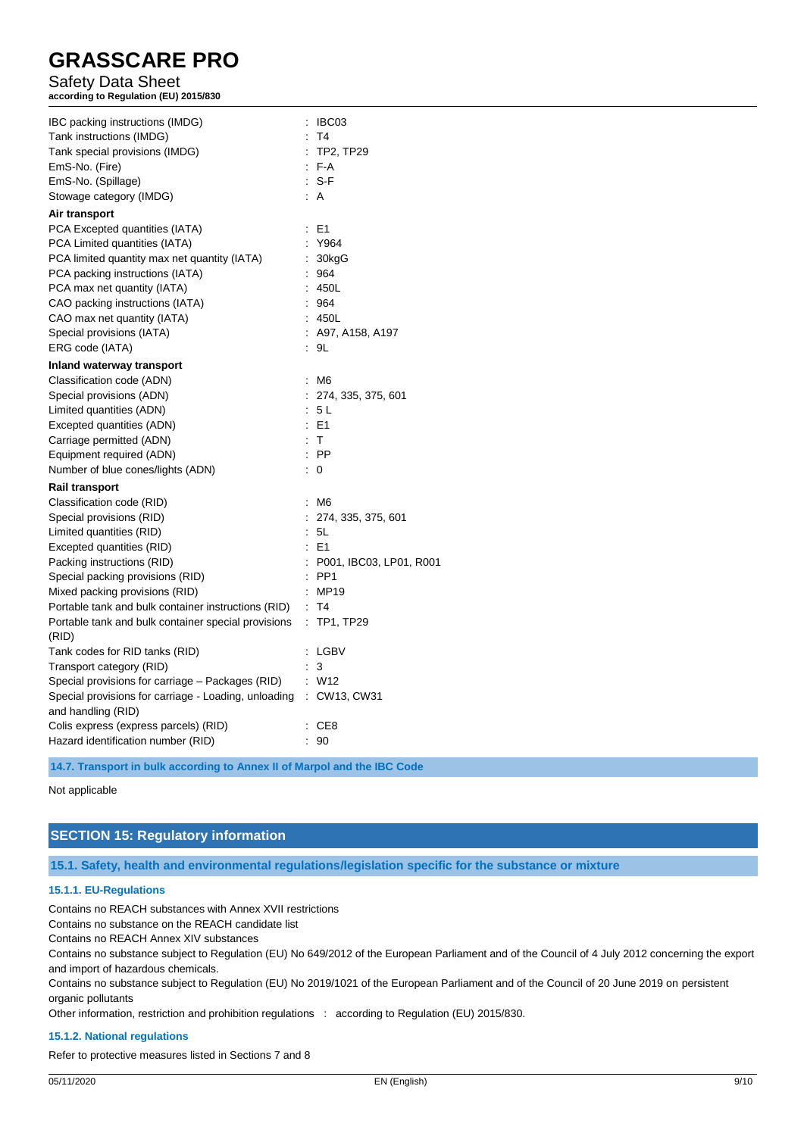# Safety Data Sheet

**according to Regulation (EU) 2015/830**

| IBC packing instructions (IMDG)                      | : IBC03                   |
|------------------------------------------------------|---------------------------|
| Tank instructions (IMDG)                             | : T4                      |
| Tank special provisions (IMDG)                       | : TP2, TP29               |
| EmS-No. (Fire)                                       | : F-A                     |
| EmS-No. (Spillage)                                   | $: S-F$                   |
| Stowage category (IMDG)                              | AA                        |
| Air transport                                        |                           |
| PCA Excepted quantities (IATA)                       | : E1                      |
| PCA Limited quantities (IATA)                        | : Y964                    |
| PCA limited quantity max net quantity (IATA)         | : 30kgG                   |
| PCA packing instructions (IATA)                      | : 964                     |
| PCA max net quantity (IATA)                          | : 450L                    |
| CAO packing instructions (IATA)                      | 964                       |
| CAO max net quantity (IATA)                          | 450L                      |
| Special provisions (IATA)                            | $:$ A97, A158, A197       |
| ERG code (IATA)                                      | : 9L                      |
| Inland waterway transport                            |                           |
| Classification code (ADN)                            | : M6                      |
| Special provisions (ADN)                             | : 274, 335, 375, 601      |
| Limited quantities (ADN)                             | : 5L                      |
| Excepted quantities (ADN)                            | $\therefore$ E1           |
| Carriage permitted (ADN)                             | : T                       |
| Equipment required (ADN)                             | $\therefore$ PP           |
| Number of blue cones/lights (ADN)                    | $\therefore$ 0            |
| <b>Rail transport</b>                                |                           |
| Classification code (RID)                            | : M6                      |
| Special provisions (RID)                             | 274, 335, 375, 601        |
| Limited quantities (RID)                             | : 5L                      |
| Excepted quantities (RID)                            | E <sub>1</sub>            |
| Packing instructions (RID)                           | : P001, IBC03, LP01, R001 |
| Special packing provisions (RID)                     | $:$ PP1                   |
| Mixed packing provisions (RID)                       | : MP19                    |
| Portable tank and bulk container instructions (RID)  | : T4                      |
| Portable tank and bulk container special provisions  | $:$ TP1, TP29             |
| (RID)                                                |                           |
| Tank codes for RID tanks (RID)                       | : LGBV                    |
| Transport category (RID)                             | $\therefore$ 3            |
| Special provisions for carriage - Packages (RID)     | : W12                     |
| Special provisions for carriage - Loading, unloading | : CW13, CW31              |
| and handling (RID)                                   |                           |
| Colis express (express parcels) (RID)                | : CE8                     |
| Hazard identification number (RID)                   | 90                        |

**14.7. Transport in bulk according to Annex II of Marpol and the IBC Code**

#### Not applicable

# **SECTION 15: Regulatory information**

**15.1. Safety, health and environmental regulations/legislation specific for the substance or mixture**

#### **15.1.1. EU-Regulations**

Contains no REACH substances with Annex XVII restrictions

Contains no substance on the REACH candidate list

Contains no REACH Annex XIV substances

Contains no substance subject to Regulation (EU) No 649/2012 of the European Parliament and of the Council of 4 July 2012 concerning the export and import of hazardous chemicals.

Contains no substance subject to Regulation (EU) No 2019/1021 of the European Parliament and of the Council of 20 June 2019 on persistent organic pollutants

Other information, restriction and prohibition regulations : according to Regulation (EU) 2015/830.

#### **15.1.2. National regulations**

Refer to protective measures listed in Sections 7 and 8